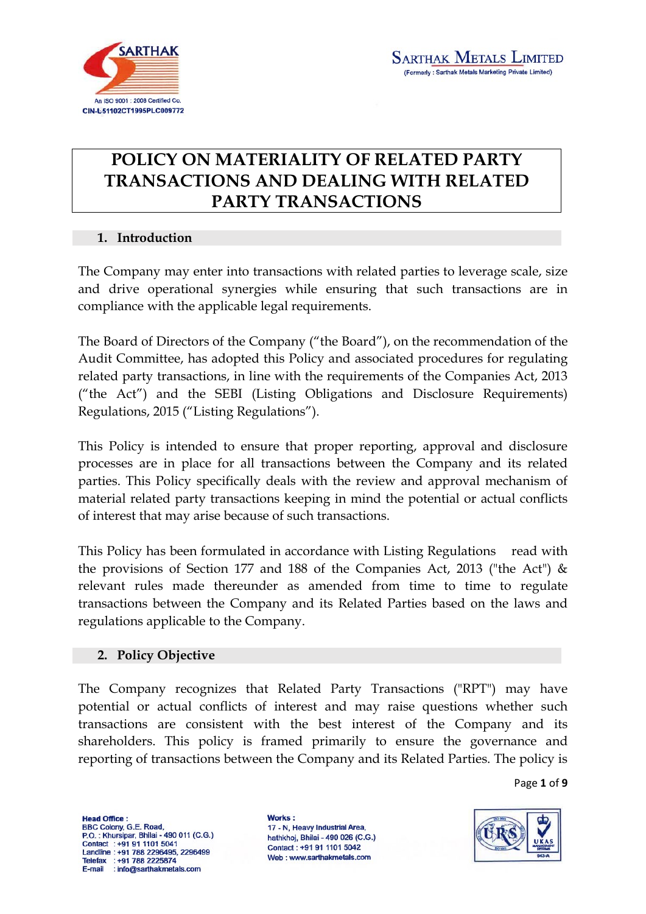

# **POLICY ON MATERIALITY OF RELATED PARTY TRANSACTIONS AND DEALING WITH RELATED PARTY TRANSACTIONS**

## **1. Introduction**

The Company may enter into transactions with related parties to leverage scale, size and drive operational synergies while ensuring that such transactions are in compliance with the applicable legal requirements.

The Board of Directors of the Company ("the Board"), on the recommendation of the Audit Committee, has adopted this Policy and associated procedures for regulating related party transactions, in line with the requirements of the Companies Act, 2013 ("the Act") and the SEBI (Listing Obligations and Disclosure Requirements) Regulations, 2015 ("Listing Regulations").

This Policy is intended to ensure that proper reporting, approval and disclosure processes are in place for all transactions between the Company and its related parties. This Policy specifically deals with the review and approval mechanism of material related party transactions keeping in mind the potential or actual conflicts of interest that may arise because of such transactions.

This Policy has been formulated in accordance with Listing Regulations read with the provisions of Section 177 and 188 of the Companies Act, 2013 ("the Act") & relevant rules made thereunder as amended from time to time to regulate transactions between the Company and its Related Parties based on the laws and regulations applicable to the Company.

## **2. Policy Objective**

The Company recognizes that Related Party Transactions ("RPT") may have potential or actual conflicts of interest and may raise questions whether such transactions are consistent with the best interest of the Company and its shareholders. This policy is framed primarily to ensure the governance and reporting of transactions between the Company and its Related Parties. The policy is

Page **1** of **9**

**Head Office:** BBC Colony, G.E. Road, P.O.: Khursipar, Bhilai - 490 011 (C.G.) Contact : +91 91 1101 5041 Landline: +91 788 2296495, 2296499 Telefax : +91 788 2225874<br>E-mail : info@sarthakmetals.com

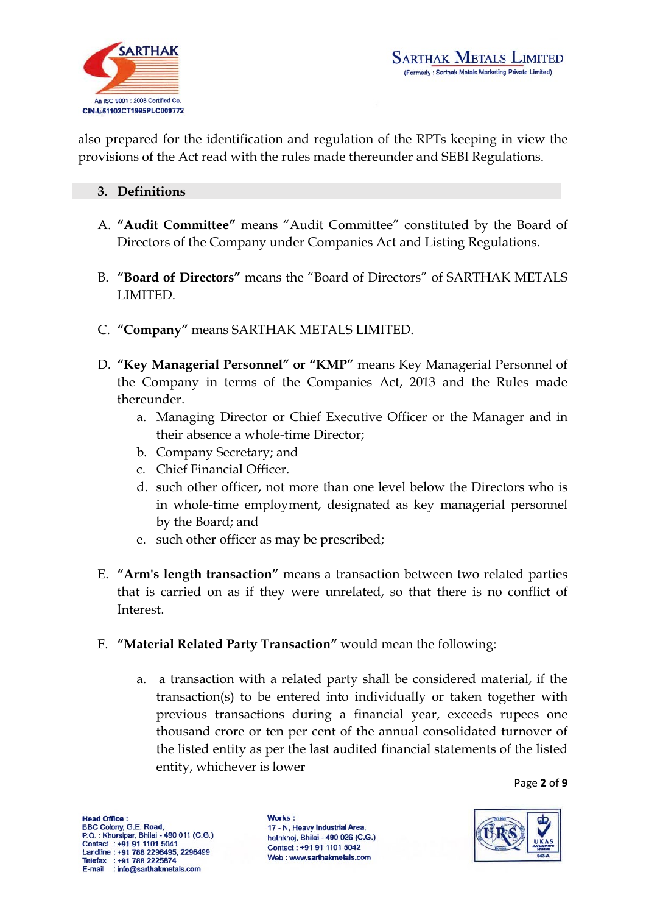

also prepared for the identification and regulation of the RPTs keeping in view the provisions of the Act read with the rules made thereunder and SEBI Regulations.

#### **3. Definitions**

- A. **"Audit Committee"** means "Audit Committee" constituted by the Board of Directors of the Company under Companies Act and Listing Regulations.
- B. **"Board of Directors"** means the "Board of Directors" of SARTHAK METALS LIMITED.
- C. **"Company"** means SARTHAK METALS LIMITED.
- D. **"Key Managerial Personnel" or "KMP"** means Key Managerial Personnel of the Company in terms of the Companies Act, 2013 and the Rules made thereunder.
	- a. Managing Director or Chief Executive Officer or the Manager and in their absence a whole-time Director;
	- b. Company Secretary; and
	- c. Chief Financial Officer.
	- d. such other officer, not more than one level below the Directors who is in whole-time employment, designated as key managerial personnel by the Board; and
	- e. such other officer as may be prescribed;
- E. **"Arm's length transaction"** means a transaction between two related parties that is carried on as if they were unrelated, so that there is no conflict of Interest.
- F. **"Material Related Party Transaction"** would mean the following:
	- a. a transaction with a related party shall be considered material, if the transaction(s) to be entered into individually or taken together with previous transactions during a financial year, exceeds rupees one thousand crore or ten per cent of the annual consolidated turnover of the listed entity as per the last audited financial statements of the listed entity, whichever is lower

Page **2** of **9**

**Head Office:** BBC Colony, G.E. Road, P.O.: Khursipar, Bhilai - 490 011 (C.G.) Contact : +91 91 1101 5041 Landline: +91 788 2296495, 2296499 Telefax : +91 788 2225874<br>E-mail : info@sarthakmetals.com

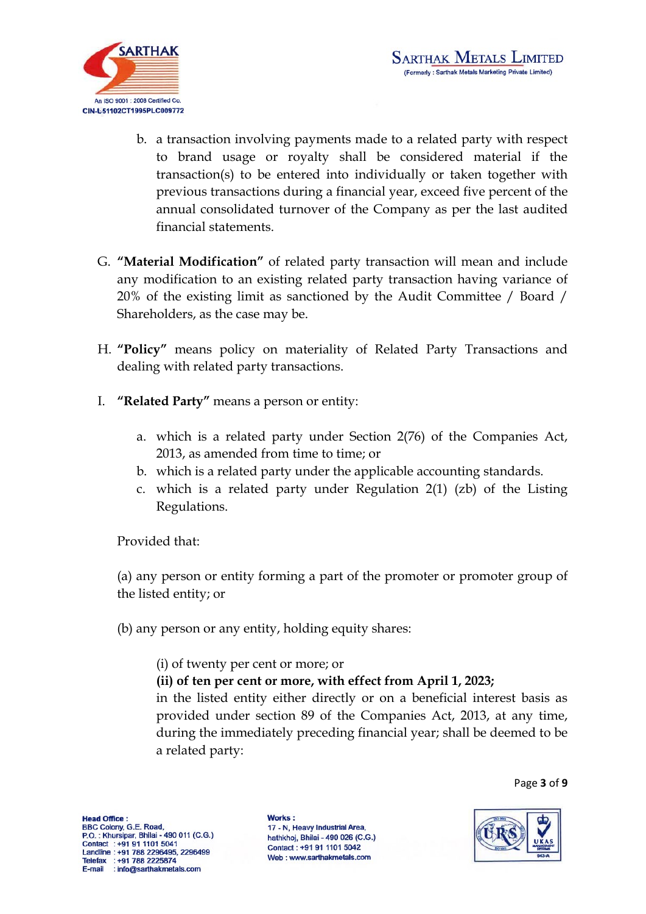

- b. a transaction involving payments made to a related party with respect to brand usage or royalty shall be considered material if the transaction(s) to be entered into individually or taken together with previous transactions during a financial year, exceed five percent of the annual consolidated turnover of the Company as per the last audited financial statements.
- G. **"Material Modification"** of related party transaction will mean and include any modification to an existing related party transaction having variance of 20% of the existing limit as sanctioned by the Audit Committee / Board / Shareholders, as the case may be.
- H. **"Policy"** means policy on materiality of Related Party Transactions and dealing with related party transactions.
- I. **"Related Party"** means a person or entity:
	- a. which is a related party under Section 2(76) of the Companies Act, 2013, as amended from time to time; or
	- b. which is a related party under the applicable accounting standards.
	- c. which is a related party under Regulation 2(1) (zb) of the Listing Regulations.

Provided that:

(a) any person or entity forming a part of the promoter or promoter group of the listed entity; or

(b) any person or any entity, holding equity shares:

(i) of twenty per cent or more; or

**(ii) of ten per cent or more, with effect from April 1, 2023;**

in the listed entity either directly or on a beneficial interest basis as provided under section 89 of the Companies Act, 2013, at any time, during the immediately preceding financial year; shall be deemed to be a related party:

Page **3** of **9**

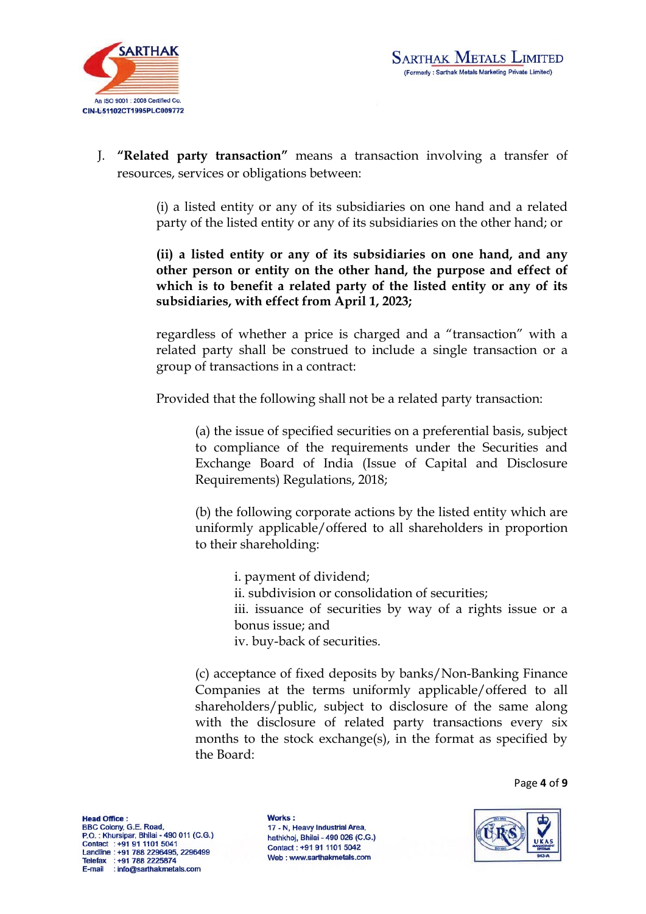

J. **"Related party transaction"** means a transaction involving a transfer of resources, services or obligations between:

> (i) a listed entity or any of its subsidiaries on one hand and a related party of the listed entity or any of its subsidiaries on the other hand; or

> **(ii) a listed entity or any of its subsidiaries on one hand, and any other person or entity on the other hand, the purpose and effect of which is to benefit a related party of the listed entity or any of its subsidiaries, with effect from April 1, 2023;**

> regardless of whether a price is charged and a "transaction" with a related party shall be construed to include a single transaction or a group of transactions in a contract:

Provided that the following shall not be a related party transaction:

(a) the issue of specified securities on a preferential basis, subject to compliance of the requirements under the Securities and Exchange Board of India (Issue of Capital and Disclosure Requirements) Regulations, 2018;

(b) the following corporate actions by the listed entity which are uniformly applicable/offered to all shareholders in proportion to their shareholding:

> i. payment of dividend; ii. subdivision or consolidation of securities; iii. issuance of securities by way of a rights issue or a bonus issue; and iv. buy-back of securities.

(c) acceptance of fixed deposits by banks/Non-Banking Finance Companies at the terms uniformly applicable/offered to all shareholders/public, subject to disclosure of the same along with the disclosure of related party transactions every six months to the stock exchange(s), in the format as specified by the Board:

Page **4** of **9**

**Head Office:** BBC Colony, G.E. Road, P.O.: Khursipar, Bhilai - 490 011 (C.G.) Contact : +91 91 1101 5041 Landline: +91 788 2296495, 2296499 Telefax : +91 788 2225874<br>E-mail : info@sarthakmetals.com

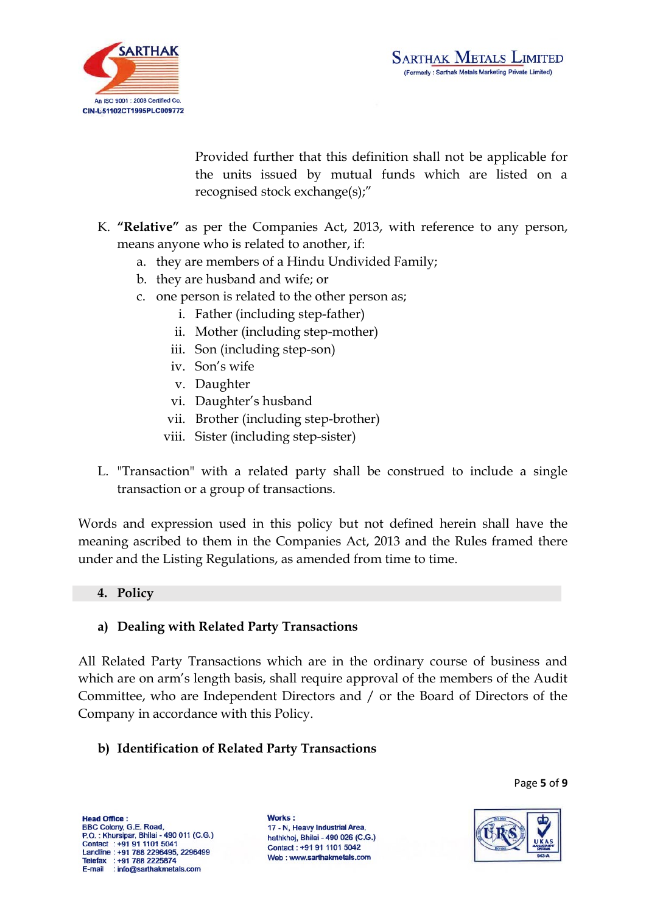

Provided further that this definition shall not be applicable for the units issued by mutual funds which are listed on a recognised stock exchange(s);"

- K. **"Relative"** as per the Companies Act, 2013, with reference to any person, means anyone who is related to another, if:
	- a. they are members of a Hindu Undivided Family;
	- b. they are husband and wife; or
	- c. one person is related to the other person as;
		- i. Father (including step-father)
		- ii. Mother (including step-mother)
		- iii. Son (including step-son)
		- iv. Son's wife
		- v. Daughter
		- vi. Daughter's husband
		- vii. Brother (including step-brother)
		- viii. Sister (including step-sister)
- L. "Transaction" with a related party shall be construed to include a single transaction or a group of transactions.

Words and expression used in this policy but not defined herein shall have the meaning ascribed to them in the Companies Act, 2013 and the Rules framed there under and the Listing Regulations, as amended from time to time.

#### **4. Policy**

#### **a) Dealing with Related Party Transactions**

All Related Party Transactions which are in the ordinary course of business and which are on arm's length basis, shall require approval of the members of the Audit Committee, who are Independent Directors and / or the Board of Directors of the Company in accordance with this Policy.

## **b) Identification of Related Party Transactions**

Page **5** of **9**

Head Office: BBC Colony, G.E. Road, P.O.: Khursipar, Bhilai - 490 011 (C.G.) Contact : +91 91 1101 5041 Landline: +91 788 2296495, 2296499 Telefax : +91 788 2225874<br>E-mail : info@sarthakmetals.com

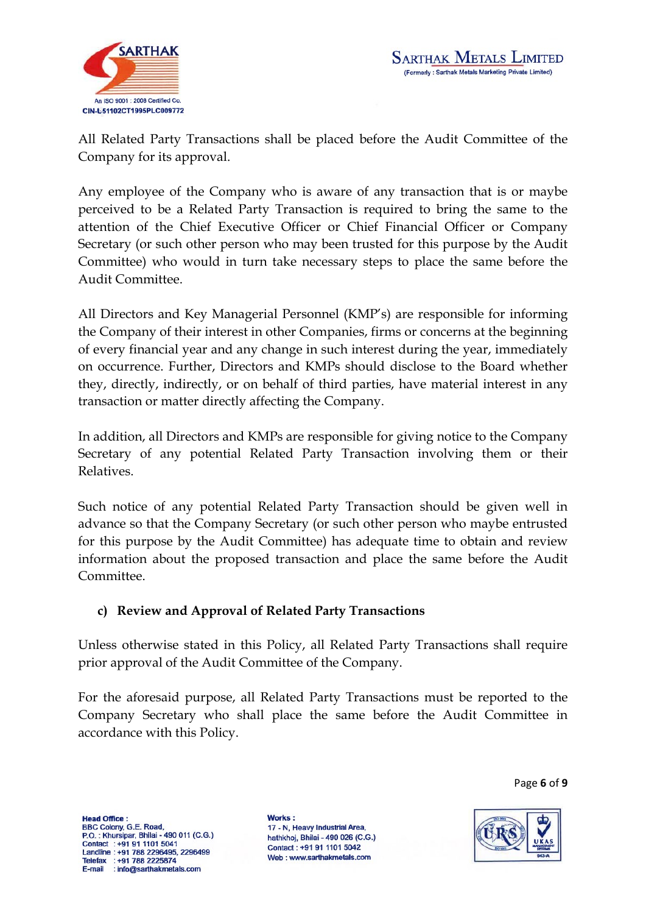

All Related Party Transactions shall be placed before the Audit Committee of the Company for its approval.

Any employee of the Company who is aware of any transaction that is or maybe perceived to be a Related Party Transaction is required to bring the same to the attention of the Chief Executive Officer or Chief Financial Officer or Company Secretary (or such other person who may been trusted for this purpose by the Audit Committee) who would in turn take necessary steps to place the same before the Audit Committee.

All Directors and Key Managerial Personnel (KMP's) are responsible for informing the Company of their interest in other Companies, firms or concerns at the beginning of every financial year and any change in such interest during the year, immediately on occurrence. Further, Directors and KMPs should disclose to the Board whether they, directly, indirectly, or on behalf of third parties, have material interest in any transaction or matter directly affecting the Company.

In addition, all Directors and KMPs are responsible for giving notice to the Company Secretary of any potential Related Party Transaction involving them or their Relatives.

Such notice of any potential Related Party Transaction should be given well in advance so that the Company Secretary (or such other person who maybe entrusted for this purpose by the Audit Committee) has adequate time to obtain and review information about the proposed transaction and place the same before the Audit Committee.

## **c) Review and Approval of Related Party Transactions**

Unless otherwise stated in this Policy, all Related Party Transactions shall require prior approval of the Audit Committee of the Company.

For the aforesaid purpose, all Related Party Transactions must be reported to the Company Secretary who shall place the same before the Audit Committee in accordance with this Policy.

Page **6** of **9**

**Head Office:** BBC Colony, G.E. Road, P.O.: Khursipar, Bhilai - 490 011 (C.G.) Contact : +91 91 1101 5041 Landline: +91 788 2296495, 2296499 Telefax : +91 788 2225874<br>E-mail : info@sarthakmetals.com

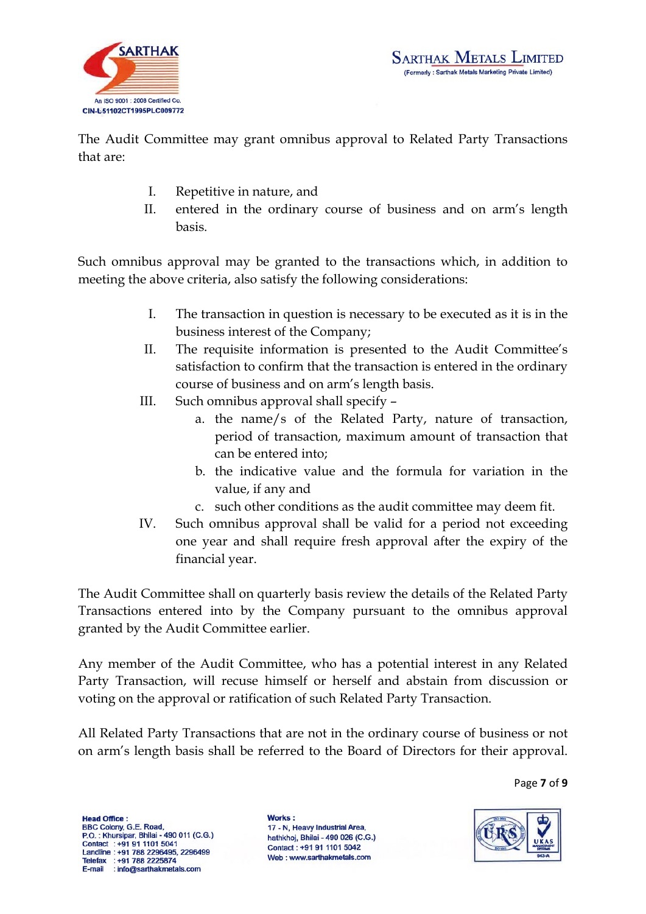

The Audit Committee may grant omnibus approval to Related Party Transactions that are:

- I. Repetitive in nature, and
- II. entered in the ordinary course of business and on arm's length basis.

Such omnibus approval may be granted to the transactions which, in addition to meeting the above criteria, also satisfy the following considerations:

- I. The transaction in question is necessary to be executed as it is in the business interest of the Company;
- II. The requisite information is presented to the Audit Committee's satisfaction to confirm that the transaction is entered in the ordinary course of business and on arm's length basis.
- III. Such omnibus approval shall specify
	- a. the name/s of the Related Party, nature of transaction, period of transaction, maximum amount of transaction that can be entered into;
	- b. the indicative value and the formula for variation in the value, if any and
	- c. such other conditions as the audit committee may deem fit.
- IV. Such omnibus approval shall be valid for a period not exceeding one year and shall require fresh approval after the expiry of the financial year.

The Audit Committee shall on quarterly basis review the details of the Related Party Transactions entered into by the Company pursuant to the omnibus approval granted by the Audit Committee earlier.

Any member of the Audit Committee, who has a potential interest in any Related Party Transaction, will recuse himself or herself and abstain from discussion or voting on the approval or ratification of such Related Party Transaction.

All Related Party Transactions that are not in the ordinary course of business or not on arm's length basis shall be referred to the Board of Directors for their approval.

Page **7** of **9**

**Head Office:** BBC Colony, G.E. Road, P.O.: Khursipar, Bhilai - 490 011 (C.G.) Contact : +91 91 1101 5041 Landline : +91 788 2296495, 2296499<br>Telefax : +91 788 2225874<br>E-mail : info@sarthakmetals.com

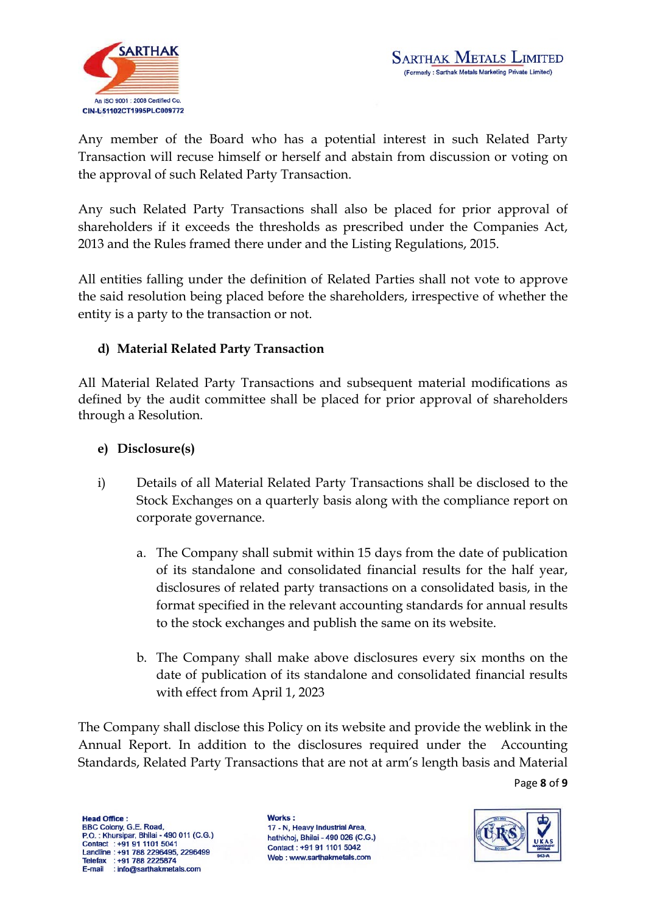

Any member of the Board who has a potential interest in such Related Party Transaction will recuse himself or herself and abstain from discussion or voting on the approval of such Related Party Transaction.

Any such Related Party Transactions shall also be placed for prior approval of shareholders if it exceeds the thresholds as prescribed under the Companies Act, 2013 and the Rules framed there under and the Listing Regulations, 2015.

All entities falling under the definition of Related Parties shall not vote to approve the said resolution being placed before the shareholders, irrespective of whether the entity is a party to the transaction or not.

# **d) Material Related Party Transaction**

All Material Related Party Transactions and subsequent material modifications as defined by the audit committee shall be placed for prior approval of shareholders through a Resolution.

# **e) Disclosure(s)**

- i) Details of all Material Related Party Transactions shall be disclosed to the Stock Exchanges on a quarterly basis along with the compliance report on corporate governance.
	- a. The Company shall submit within 15 days from the date of publication of its standalone and consolidated financial results for the half year, disclosures of related party transactions on a consolidated basis, in the format specified in the relevant accounting standards for annual results to the stock exchanges and publish the same on its website.
	- b. The Company shall make above disclosures every six months on the date of publication of its standalone and consolidated financial results with effect from April 1, 2023

The Company shall disclose this Policy on its website and provide the weblink in the Annual Report. In addition to the disclosures required under the Accounting Standards, Related Party Transactions that are not at arm's length basis and Material

Page **8** of **9**

**Head Office:** BBC Colony, G.E. Road, P.O.: Khursipar, Bhilai - 490 011 (C.G.) Contact : +91 91 1101 5041 Landline : +91 788 2296495, 2296499<br>Telefax : +91 788 2225874<br>E-mail : info@sarthakmetals.com